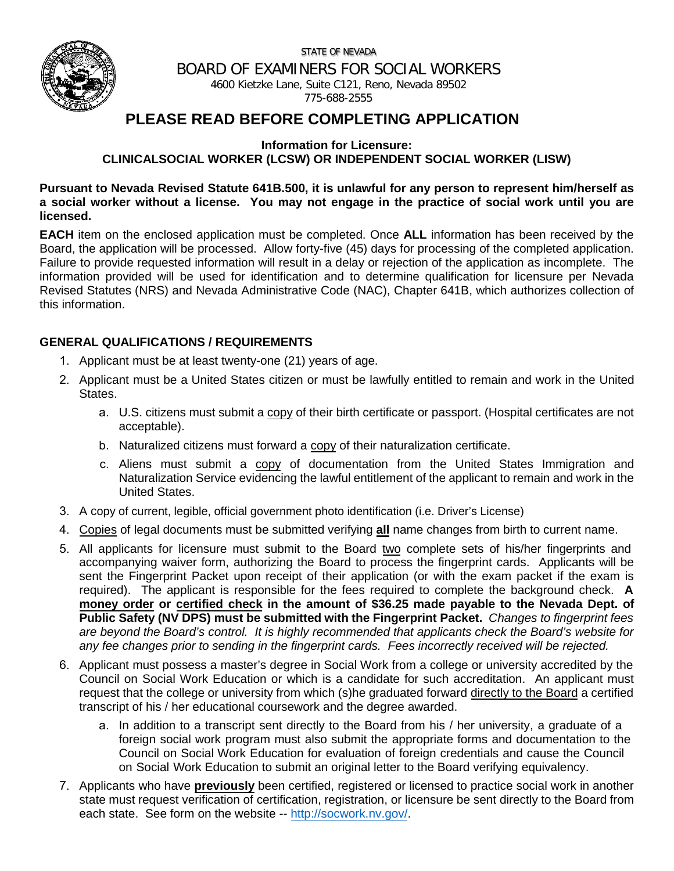STATE OF NEVADA



BOARD OF EXAMINERS FOR SOCIAL WORKERS 4600 Kietzke Lane, Suite C121, Reno, Nevada 89502

775-688-2555

# **PLEASE READ BEFORE COMPLETING APPLICATION**

**Information for Licensure:** 

### **CLINICALSOCIAL WORKER (LCSW) OR INDEPENDENT SOCIAL WORKER (LISW)**

**Pursuant to Nevada Revised Statute 641B.500, it is unlawful for any person to represent him/herself as a social worker without a license. You may not engage in the practice of social work until you are licensed.**

**EACH** item on the enclosed application must be completed. Once **ALL** information has been received by the Board, the application will be processed. Allow forty-five (45) days for processing of the completed application. Failure to provide requested information will result in a delay or rejection of the application as incomplete. The information provided will be used for identification and to determine qualification for licensure per Nevada Revised Statutes (NRS) and Nevada Administrative Code (NAC), Chapter 641B, which authorizes collection of this information.

### **GENERAL QUALIFICATIONS / REQUIREMENTS**

- 1. Applicant must be at least twenty-one (21) years of age.
- 2. Applicant must be a United States citizen or must be lawfully entitled to remain and work in the United States.
	- a. U.S. citizens must submit a copy of their birth certificate or passport. (Hospital certificates are not acceptable).
	- b. Naturalized citizens must forward a copy of their naturalization certificate.
	- c. Aliens must submit a copy of documentation from the United States Immigration and Naturalization Service evidencing the lawful entitlement of the applicant to remain and work in the United States.
- 3. A copy of current, legible, official government photo identification (i.e. Driver's License)
- 4. Copies of legal documents must be submitted verifying **all** name changes from birth to current name.
- 5. All applicants for licensure must submit to the Board two complete sets of his/her fingerprints and accompanying waiver form, authorizing the Board to process the fingerprint cards. Applicants will be sent the Fingerprint Packet upon receipt of their application (or with the exam packet if the exam is required). The applicant is responsible for the fees required to complete the background check. **A money order or certified check in the amount of \$36.25 made payable to the Nevada Dept. of Public Safety (NV DPS) must be submitted with the Fingerprint Packet.** *Changes to fingerprint fees are beyond the Board's control. It is highly recommended that applicants check the Board's website for any fee changes prior to sending in the fingerprint cards. Fees incorrectly received will be rejected.*
- 6. Applicant must possess a master's degree in Social Work from a college or university accredited by the Council on Social Work Education or which is a candidate for such accreditation. An applicant must request that the college or university from which (s)he graduated forward directly to the Board a certified transcript of his / her educational coursework and the degree awarded.
	- a. In addition to a transcript sent directly to the Board from his / her university, a graduate of a foreign social work program must also submit the appropriate forms and documentation to the Council on Social Work Education for evaluation of foreign credentials and cause the Council on Social Work Education to submit an original letter to the Board verifying equivalency.
- 7. Applicants who have **previously** been certified, registered or licensed to practice social work in another state must request verification of certification, registration, or licensure be sent directly to the Board from each state. See form on the website -- [http://socwork.nv.gov/.](http://socwork.nv.gov/)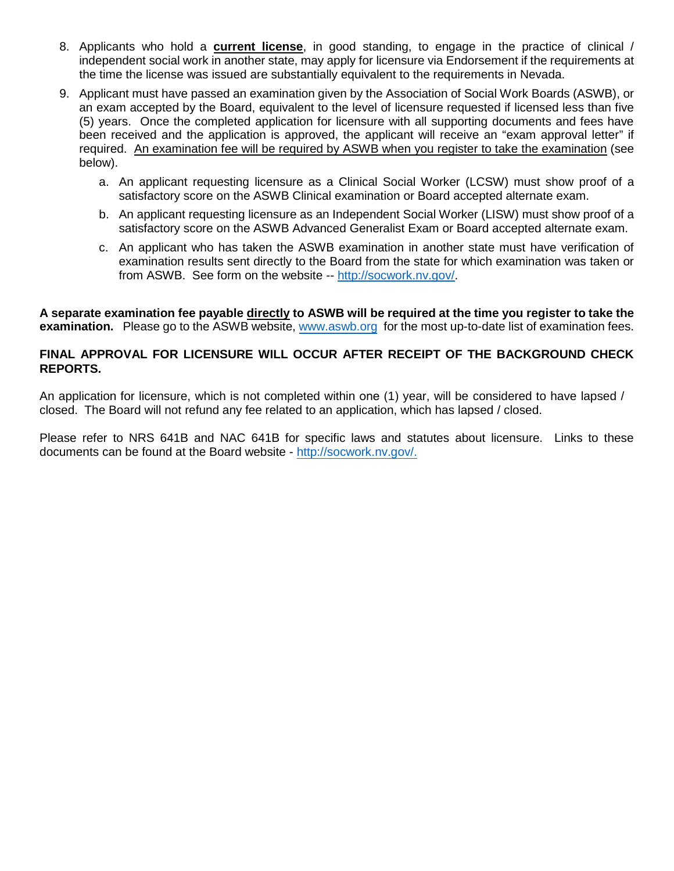- 8. Applicants who hold a **current license**, in good standing, to engage in the practice of clinical / independent social work in another state, may apply for licensure via Endorsement if the requirements at the time the license was issued are substantially equivalent to the requirements in Nevada.
- 9. Applicant must have passed an examination given by the Association of Social Work Boards (ASWB), or an exam accepted by the Board, equivalent to the level of licensure requested if licensed less than five (5) years. Once the completed application for licensure with all supporting documents and fees have been received and the application is approved, the applicant will receive an "exam approval letter" if required. An examination fee will be required by ASWB when you register to take the examination (see below).
	- a. An applicant requesting licensure as a Clinical Social Worker (LCSW) must show proof of a satisfactory score on the ASWB Clinical examination or Board accepted alternate exam.
	- b. An applicant requesting licensure as an Independent Social Worker (LISW) must show proof of a satisfactory score on the ASWB Advanced Generalist Exam or Board accepted alternate exam.
	- c. An applicant who has taken the ASWB examination in another state must have verification of examination results sent directly to the Board from the state for which examination was taken or from ASWB. See form on the website -- [http://socwork.nv.gov/.](http://socwork.nv.gov/)

**A separate examination fee payable directly to ASWB will be required at the time you register to take the examination.** Please go to the ASWB website, [www.aswb.org](http://www.aswb.org/) for the most up-to-date list of examination fees.

### **FINAL APPROVAL FOR LICENSURE WILL OCCUR AFTER RECEIPT OF THE BACKGROUND CHECK REPORTS.**

An application for licensure, which is not completed within one (1) year, will be considered to have lapsed / closed. The Board will not refund any fee related to an application, which has lapsed / closed.

Please refer to NRS 641B and NAC 641B for specific laws and statutes about licensure. Links to these documents can be found at the Board website - [http://socwork.nv.gov/.](http://socwork.nv.gov/)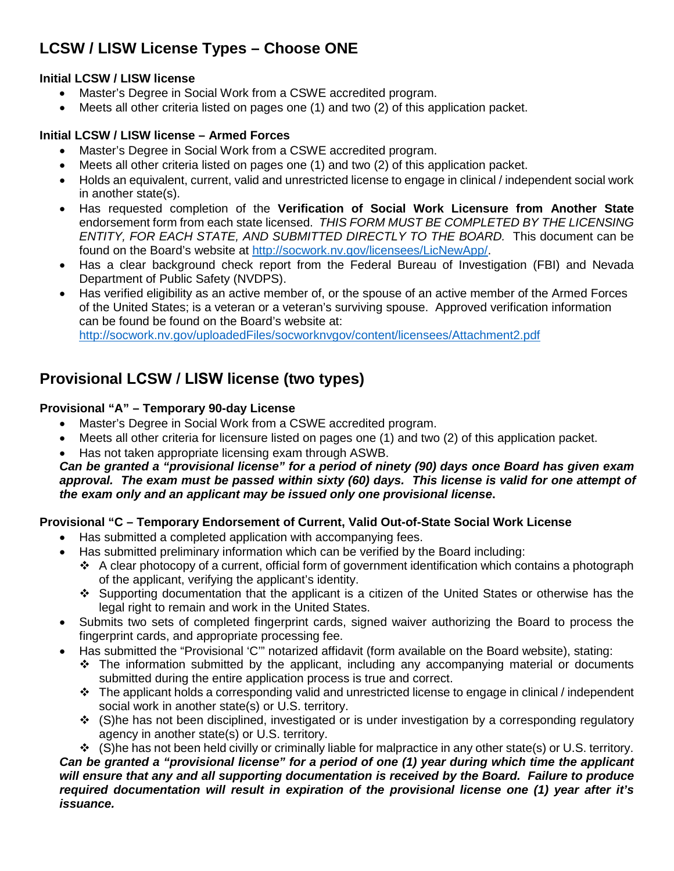# **LCSW / LISW License Types – Choose ONE**

## **Initial LCSW / LISW license**

- Master's Degree in Social Work from a CSWE accredited program.
- Meets all other criteria listed on pages one (1) and two (2) of this application packet.

## **Initial LCSW / LISW license – Armed Forces**

- Master's Degree in Social Work from a CSWE accredited program.
- Meets all other criteria listed on pages one (1) and two (2) of this application packet.
- Holds an equivalent, current, valid and unrestricted license to engage in clinical / independent social work in another state(s).
- Has requested completion of the **Verification of Social Work Licensure from Another State** endorsement form from each state licensed. *THIS FORM MUST BE COMPLETED BY THE LICENSING ENTITY, FOR EACH STATE, AND SUBMITTED DIRECTLY TO THE BOARD.* This document can be found on the Board's website at [http://socwork.nv.gov/licensees/LicNewApp/.](http://socwork.nv.gov/licensees/LicNewApp/)
- Has a clear background check report from the Federal Bureau of Investigation (FBI) and Nevada Department of Public Safety (NVDPS).
- Has verified eligibility as an active member of, or the spouse of an active member of the Armed Forces of the United States; is a veteran or a veteran's surviving spouse. Approved verification information can be found be found on the Board's website at: <http://socwork.nv.gov/uploadedFiles/socworknvgov/content/licensees/Attachment2.pdf>

# **Provisional LCSW / LISW license (two types)**

## **Provisional "A" – Temporary 90-day License**

- Master's Degree in Social Work from a CSWE accredited program.
- Meets all other criteria for licensure listed on pages one (1) and two (2) of this application packet.
- Has not taken appropriate licensing exam through ASWB.

### *Can be granted a "provisional license" for a period of ninety (90) days once Board has given exam approval. The exam must be passed within sixty (60) days. This license is valid for one attempt of the exam only and an applicant may be issued only one provisional license***.**

## **Provisional "C – Temporary Endorsement of Current, Valid Out-of-State Social Work License**

- Has submitted a completed application with accompanying fees.
- Has submitted preliminary information which can be verified by the Board including:
	- $\cdot \cdot$  A clear photocopy of a current, official form of government identification which contains a photograph of the applicant, verifying the applicant's identity.
	- $\cdot$  Supporting documentation that the applicant is a citizen of the United States or otherwise has the legal right to remain and work in the United States.
- Submits two sets of completed fingerprint cards, signed waiver authorizing the Board to process the fingerprint cards, and appropriate processing fee.
- Has submitted the "Provisional 'C'" notarized affidavit (form available on the Board website), stating:
	- $\div$  The information submitted by the applicant, including any accompanying material or documents submitted during the entire application process is true and correct.
	- $\cdot \cdot$  The applicant holds a corresponding valid and unrestricted license to engage in clinical / independent social work in another state(s) or U.S. territory.
	- $\div$  (S)he has not been disciplined, investigated or is under investigation by a corresponding regulatory agency in another state(s) or U.S. territory.
	- $\div$  (S)he has not been held civilly or criminally liable for malpractice in any other state(s) or U.S. territory.

*Can be granted a "provisional license" for a period of one (1) year during which time the applicant will ensure that any and all supporting documentation is received by the Board. Failure to produce required documentation will result in expiration of the provisional license one (1) year after it's issuance.*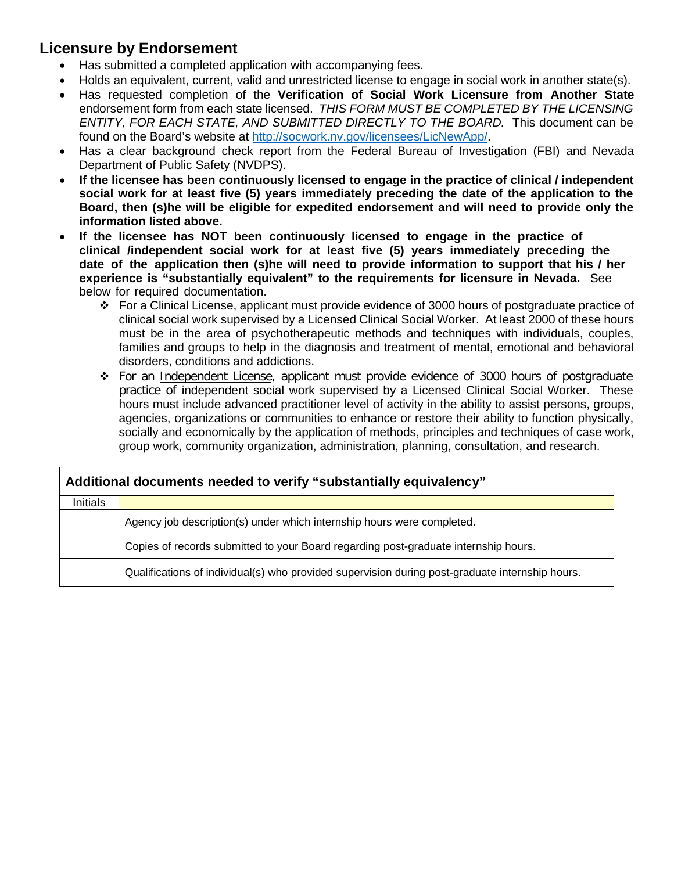# **Licensure by Endorsement**

- Has submitted a completed application with accompanying fees.
- Holds an equivalent, current, valid and unrestricted license to engage in social work in another state(s).
- Has requested completion of the **Verification of Social Work Licensure from Another State** endorsement form from each state licensed. *THIS FORM MUST BE COMPLETED BY THE LICENSING ENTITY, FOR EACH STATE, AND SUBMITTED DIRECTLY TO THE BOARD.* This document can be found on the Board's website at [http://socwork.nv.gov/licensees/LicNewApp/.](http://socwork.nv.gov/licensees/LicNewApp/)
- Has a clear background check report from the Federal Bureau of Investigation (FBI) and Nevada Department of Public Safety (NVDPS).
- **If the licensee has been continuously licensed to engage in the practice of clinical / independent social work for at least five (5) years immediately preceding the date of the application to the Board, then (s)he will be eligible for expedited endorsement and will need to provide only the information listed above.**
- **If the licensee has NOT been continuously licensed to engage in the practice of clinical /independent social work for at least five (5) years immediately preceding the date of the application then (s)he will need to provide information to support that his / her experience is "substantially equivalent" to the requirements for licensure in Nevada.** See below for required documentation.
	- For a Clinical License, applicant must provide evidence of 3000 hours of postgraduate practice of clinical social work supervised by a Licensed Clinical Social Worker. At least 2000 of these hours must be in the area of psychotherapeutic methods and techniques with individuals, couples, families and groups to help in the diagnosis and treatment of mental, emotional and behavioral disorders, conditions and addictions.
	- For an Independent License, applicant must provide evidence of 3000 hours of postgraduate practice of independent social work supervised by a Licensed Clinical Social Worker. These hours must include advanced practitioner level of activity in the ability to assist persons, groups, agencies, organizations or communities to enhance or restore their ability to function physically, socially and economically by the application of methods, principles and techniques of case work, group work, community organization, administration, planning, consultation, and research.

| Additional documents needed to verify "substantially equivalency" |                                                                                                 |  |
|-------------------------------------------------------------------|-------------------------------------------------------------------------------------------------|--|
| <b>Initials</b>                                                   |                                                                                                 |  |
|                                                                   | Agency job description(s) under which internship hours were completed.                          |  |
|                                                                   | Copies of records submitted to your Board regarding post-graduate internship hours.             |  |
|                                                                   | Qualifications of individual(s) who provided supervision during post-graduate internship hours. |  |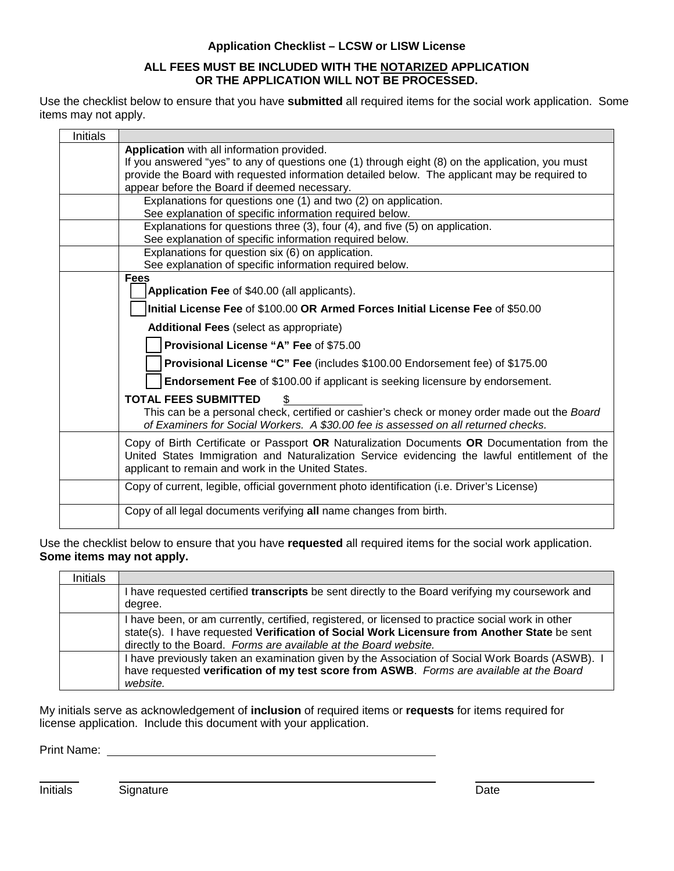#### **Application Checklist – LCSW or LISW License**

#### **ALL FEES MUST BE INCLUDED WITH THE NOTARIZED APPLICATION OR THE APPLICATION WILL NOT BE PROCESSED.**

Use the checklist below to ensure that you have **submitted** all required items for the social work application. Some items may not apply.

| <b>Initials</b> |                                                                                                  |
|-----------------|--------------------------------------------------------------------------------------------------|
|                 | Application with all information provided.                                                       |
|                 | If you answered "yes" to any of questions one (1) through eight (8) on the application, you must |
|                 | provide the Board with requested information detailed below. The applicant may be required to    |
|                 | appear before the Board if deemed necessary.                                                     |
|                 | Explanations for questions one (1) and two (2) on application.                                   |
|                 | See explanation of specific information required below.                                          |
|                 | Explanations for questions three (3), four (4), and five (5) on application.                     |
|                 | See explanation of specific information required below.                                          |
|                 | Explanations for question six (6) on application.                                                |
|                 | See explanation of specific information required below.                                          |
|                 | <b>Fees</b>                                                                                      |
|                 | Application Fee of \$40.00 (all applicants).                                                     |
|                 | Initial License Fee of \$100.00 OR Armed Forces Initial License Fee of \$50.00                   |
|                 | <b>Additional Fees (select as appropriate)</b>                                                   |
|                 | Provisional License "A" Fee of \$75.00                                                           |
|                 | <b>Provisional License "C" Fee (includes \$100.00 Endorsement fee) of \$175.00</b>               |
|                 | Endorsement Fee of \$100.00 if applicant is seeking licensure by endorsement.                    |
|                 | <b>TOTAL FEES SUBMITTED</b>                                                                      |
|                 | This can be a personal check, certified or cashier's check or money order made out the Board     |
|                 | of Examiners for Social Workers. A \$30.00 fee is assessed on all returned checks.               |
|                 | Copy of Birth Certificate or Passport OR Naturalization Documents OR Documentation from the      |
|                 | United States Immigration and Naturalization Service evidencing the lawful entitlement of the    |
|                 | applicant to remain and work in the United States.                                               |
|                 |                                                                                                  |
|                 | Copy of current, legible, official government photo identification (i.e. Driver's License)       |
|                 | Copy of all legal documents verifying all name changes from birth.                               |
|                 |                                                                                                  |
|                 |                                                                                                  |

Use the checklist below to ensure that you have **requested** all required items for the social work application. **Some items may not apply.** 

| <b>Initials</b> |                                                                                                                                                                                                                                                                      |
|-----------------|----------------------------------------------------------------------------------------------------------------------------------------------------------------------------------------------------------------------------------------------------------------------|
|                 | I have requested certified transcripts be sent directly to the Board verifying my coursework and<br>degree.                                                                                                                                                          |
|                 | I have been, or am currently, certified, registered, or licensed to practice social work in other<br>state(s). I have requested Verification of Social Work Licensure from Another State be sent<br>directly to the Board. Forms are available at the Board website. |
|                 | I have previously taken an examination given by the Association of Social Work Boards (ASWB). I<br>have requested verification of my test score from ASWB. Forms are available at the Board<br>website.                                                              |

My initials serve as acknowledgement of **inclusion** of required items or **requests** for items required for license application. Include this document with your application.

Print Name: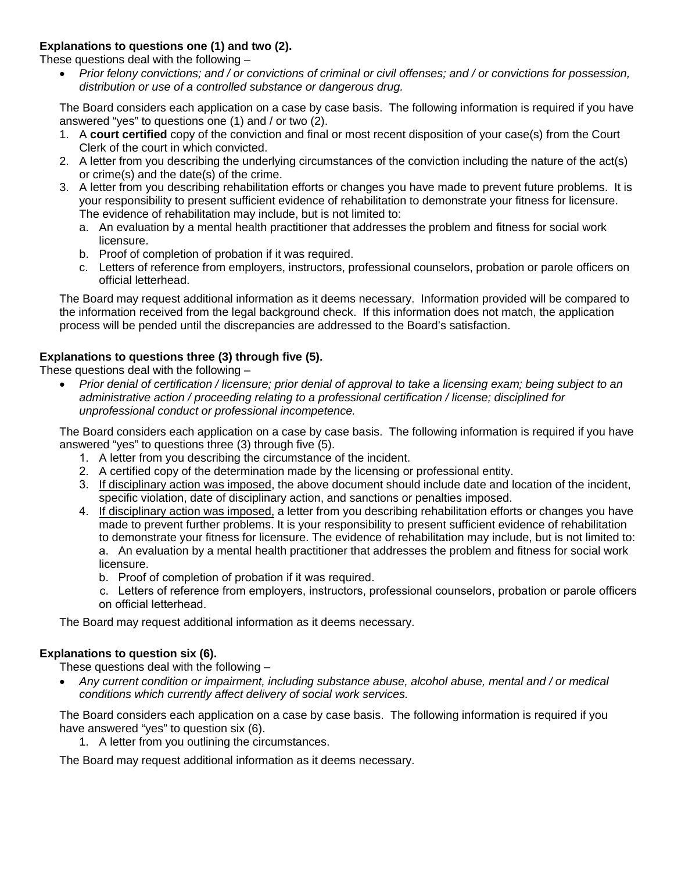### **Explanations to questions one (1) and two (2).**

These questions deal with the following –

• *Prior felony convictions; and / or convictions of criminal or civil offenses; and / or convictions for possession, distribution or use of a controlled substance or dangerous drug.*

The Board considers each application on a case by case basis. The following information is required if you have answered "yes" to questions one (1) and / or two (2).

- 1. A **court certified** copy of the conviction and final or most recent disposition of your case(s) from the Court Clerk of the court in which convicted.
- 2. A letter from you describing the underlying circumstances of the conviction including the nature of the act(s) or crime(s) and the date(s) of the crime.
- 3. A letter from you describing rehabilitation efforts or changes you have made to prevent future problems. It is your responsibility to present sufficient evidence of rehabilitation to demonstrate your fitness for licensure. The evidence of rehabilitation may include, but is not limited to:
	- a. An evaluation by a mental health practitioner that addresses the problem and fitness for social work licensure.
	- b. Proof of completion of probation if it was required.
	- c. Letters of reference from employers, instructors, professional counselors, probation or parole officers on official letterhead.

The Board may request additional information as it deems necessary. Information provided will be compared to the information received from the legal background check. If this information does not match, the application process will be pended until the discrepancies are addressed to the Board's satisfaction.

### **Explanations to questions three (3) through five (5).**

These questions deal with the following –

• *Prior denial of certification / licensure; prior denial of approval to take a licensing exam; being subject to an administrative action / proceeding relating to a professional certification / license; disciplined for unprofessional conduct or professional incompetence.*

The Board considers each application on a case by case basis. The following information is required if you have answered "yes" to questions three (3) through five (5).

- 1. A letter from you describing the circumstance of the incident.
- 2. A certified copy of the determination made by the licensing or professional entity.
- 3. If disciplinary action was imposed, the above document should include date and location of the incident, specific violation, date of disciplinary action, and sanctions or penalties imposed.
- 4. If disciplinary action was imposed, a letter from you describing rehabilitation efforts or changes you have made to prevent further problems. It is your responsibility to present sufficient evidence of rehabilitation to demonstrate your fitness for licensure. The evidence of rehabilitation may include, but is not limited to: a. An evaluation by a mental health practitioner that addresses the problem and fitness for social work licensure.

b. Proof of completion of probation if it was required.

c. Letters of reference from employers, instructors, professional counselors, probation or parole officers on official letterhead.

The Board may request additional information as it deems necessary.

### **Explanations to question six (6).**

These questions deal with the following –

• *Any current condition or impairment, including substance abuse, alcohol abuse, mental and / or medical conditions which currently affect delivery of social work services.*

The Board considers each application on a case by case basis. The following information is required if you have answered "yes" to question six (6).

1. A letter from you outlining the circumstances.

The Board may request additional information as it deems necessary.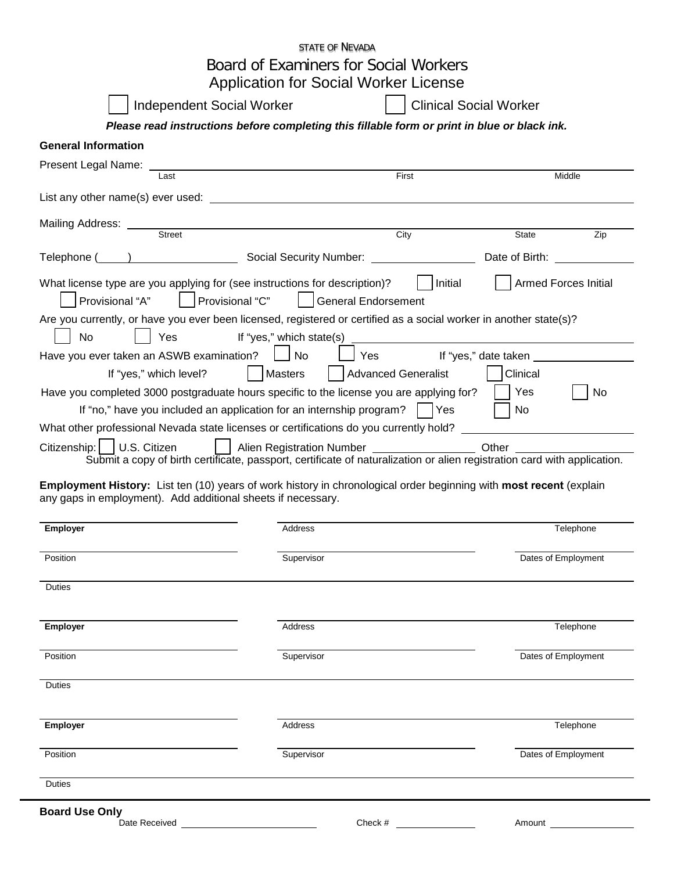|                                                                                                                                                                                    | STATE OF NEVADA                                                                                                                                                                                                                                                                      |                               |
|------------------------------------------------------------------------------------------------------------------------------------------------------------------------------------|--------------------------------------------------------------------------------------------------------------------------------------------------------------------------------------------------------------------------------------------------------------------------------------|-------------------------------|
|                                                                                                                                                                                    | Board of Examiners for Social Workers                                                                                                                                                                                                                                                |                               |
|                                                                                                                                                                                    | <b>Application for Social Worker License</b>                                                                                                                                                                                                                                         |                               |
| Independent Social Worker                                                                                                                                                          |                                                                                                                                                                                                                                                                                      | <b>Clinical Social Worker</b> |
|                                                                                                                                                                                    | Please read instructions before completing this fillable form or print in blue or black ink.                                                                                                                                                                                         |                               |
| <b>General Information</b>                                                                                                                                                         |                                                                                                                                                                                                                                                                                      |                               |
| Present Legal Name:<br>Last                                                                                                                                                        | First                                                                                                                                                                                                                                                                                | Middle                        |
|                                                                                                                                                                                    |                                                                                                                                                                                                                                                                                      |                               |
| Mailing Address: Street                                                                                                                                                            |                                                                                                                                                                                                                                                                                      |                               |
|                                                                                                                                                                                    | City                                                                                                                                                                                                                                                                                 | Zip<br>State                  |
| Telephone ( ) Social Security Number: Date of Birth: Date of Birth:                                                                                                                |                                                                                                                                                                                                                                                                                      |                               |
| What license type are you applying for (see instructions for description)?<br>Provisional "A"<br>Provisional "C"                                                                   | Initial<br><b>General Endorsement</b>                                                                                                                                                                                                                                                | <b>Armed Forces Initial</b>   |
| Are you currently, or have you ever been licensed, registered or certified as a social worker in another state(s)?<br>Yes<br><b>No</b>                                             | If "yes," which state(s) $\frac{1}{2}$ and $\frac{1}{2}$ and $\frac{1}{2}$ and $\frac{1}{2}$ and $\frac{1}{2}$ and $\frac{1}{2}$ and $\frac{1}{2}$ and $\frac{1}{2}$ and $\frac{1}{2}$ and $\frac{1}{2}$ and $\frac{1}{2}$ and $\frac{1}{2}$ and $\frac{1}{2}$ and $\frac{1}{2}$ and |                               |
| Have you ever taken an ASWB examination?     No                                                                                                                                    | Yes If "yes," date taken                                                                                                                                                                                                                                                             |                               |
| If "yes," which level?                                                                                                                                                             | Masters<br><b>Advanced Generalist</b>                                                                                                                                                                                                                                                | Clinical                      |
| Have you completed 3000 postgraduate hours specific to the license you are applying for?                                                                                           |                                                                                                                                                                                                                                                                                      | Yes<br>No                     |
| If "no," have you included an application for an internship program?                                                                                                               | Yes                                                                                                                                                                                                                                                                                  | No                            |
| What other professional Nevada state licenses or certifications do you currently hold?                                                                                             |                                                                                                                                                                                                                                                                                      |                               |
| Citizenship:   U.S. Citizen<br>Submit a copy of birth certificate, passport, certificate of naturalization or alien registration card with application.                            | Alien Registration Number                                                                                                                                                                                                                                                            | Other                         |
| Employment History: List ten (10) years of work history in chronological order beginning with most recent (explain<br>any gaps in employment). Add additional sheets if necessary. |                                                                                                                                                                                                                                                                                      |                               |
| Employer                                                                                                                                                                           | Address                                                                                                                                                                                                                                                                              | Telephone                     |
|                                                                                                                                                                                    |                                                                                                                                                                                                                                                                                      |                               |
| Position                                                                                                                                                                           | Supervisor                                                                                                                                                                                                                                                                           | Dates of Employment           |
| <b>Duties</b>                                                                                                                                                                      |                                                                                                                                                                                                                                                                                      |                               |
| <b>Employer</b>                                                                                                                                                                    | Address                                                                                                                                                                                                                                                                              | Telephone                     |
| Position                                                                                                                                                                           | Supervisor                                                                                                                                                                                                                                                                           | Dates of Employment           |
|                                                                                                                                                                                    |                                                                                                                                                                                                                                                                                      |                               |
| <b>Duties</b>                                                                                                                                                                      |                                                                                                                                                                                                                                                                                      |                               |
| <b>Employer</b>                                                                                                                                                                    | Address                                                                                                                                                                                                                                                                              | Telephone                     |
| Position                                                                                                                                                                           | Supervisor                                                                                                                                                                                                                                                                           | Dates of Employment           |
| <b>Duties</b>                                                                                                                                                                      |                                                                                                                                                                                                                                                                                      |                               |
| <b>Board Use Only</b>                                                                                                                                                              |                                                                                                                                                                                                                                                                                      |                               |
| Date Received                                                                                                                                                                      | Check $#$                                                                                                                                                                                                                                                                            | Amount                        |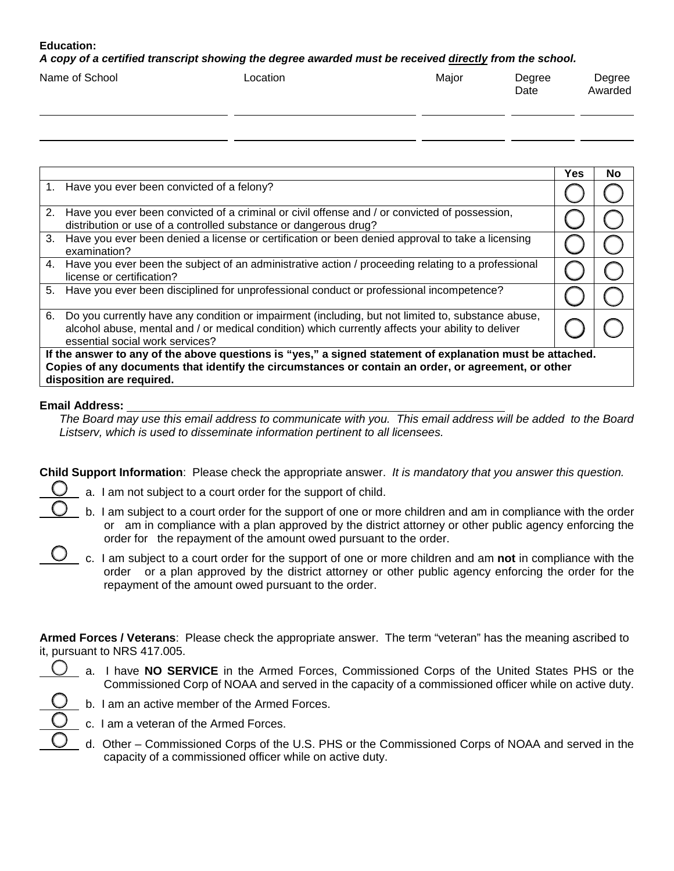#### **Education:**

*A copy of a certified transcript showing the degree awarded must be received directly from the school.*

| Name of School | Location | Major | Degree<br>Date | Degree<br>Awarded |
|----------------|----------|-------|----------------|-------------------|
|                |          |       |                |                   |

|                                                                                                           |                                                                                                                                                                                                                                            | Yes | No |  |
|-----------------------------------------------------------------------------------------------------------|--------------------------------------------------------------------------------------------------------------------------------------------------------------------------------------------------------------------------------------------|-----|----|--|
|                                                                                                           | 1. Have you ever been convicted of a felony?                                                                                                                                                                                               |     |    |  |
| 2.                                                                                                        | Have you ever been convicted of a criminal or civil offense and / or convicted of possession,<br>distribution or use of a controlled substance or dangerous drug?                                                                          |     |    |  |
| 3.                                                                                                        | Have you ever been denied a license or certification or been denied approval to take a licensing<br>examination?                                                                                                                           |     |    |  |
|                                                                                                           | 4. Have you ever been the subject of an administrative action / proceeding relating to a professional<br>license or certification?                                                                                                         |     |    |  |
| 5.                                                                                                        | Have you ever been disciplined for unprofessional conduct or professional incompetence?                                                                                                                                                    |     |    |  |
| 6.                                                                                                        | Do you currently have any condition or impairment (including, but not limited to, substance abuse,<br>alcohol abuse, mental and / or medical condition) which currently affects your ability to deliver<br>essential social work services? |     |    |  |
| If the answer to any of the above questions is "yes," a signed statement of explanation must be attached. |                                                                                                                                                                                                                                            |     |    |  |
| Copies of any documents that identify the circumstances or contain an order, or agreement, or other       |                                                                                                                                                                                                                                            |     |    |  |
|                                                                                                           | disposition are required.                                                                                                                                                                                                                  |     |    |  |

#### **Email Address:**

*The Board may use this email address to communicate with you. This email address will be added to the Board Listserv, which is used to disseminate information pertinent to all licensees.* 

**Child Support Information**: Please check the appropriate answer. *It is mandatory that you answer this question.*

- 
- a. I am not subject to a court order for the support of child.
- b. I am subject to a court order for the support of one or more children and am in compliance with the order or am in compliance with a plan approved by the district attorney or other public agency enforcing the order for the repayment of the amount owed pursuant to the order.
- c. I am subject to a court order for the support of one or more children and am **not** in compliance with the order or a plan approved by the district attorney or other public agency enforcing the order for the repayment of the amount owed pursuant to the order.

**Armed Forces / Veterans**: Please check the appropriate answer. The term "veteran" has the meaning ascribed to it, pursuant to NRS 417.005.

 a. I have **NO SERVICE** in the Armed Forces, Commissioned Corps of the United States PHS or the Commissioned Corp of NOAA and served in the capacity of a commissioned officer while on active duty.



- b. I am an active member of the Armed Forces.
- c. I am a veteran of the Armed Forces.
- d. Other Commissioned Corps of the U.S. PHS or the Commissioned Corps of NOAA and served in the capacity of a commissioned officer while on active duty.